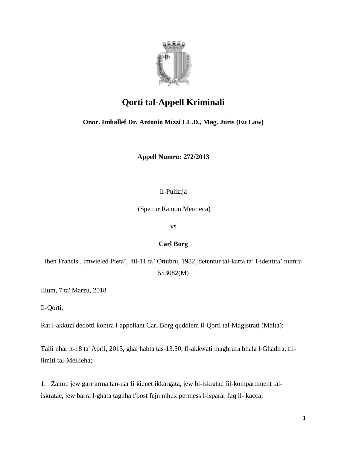

# **Qorti tal-Appell Kriminali**

# **Onor. Imhallef Dr. Antonio Mizzi LL.D., Mag. Juris (Eu Law)**

**Appell Numru: 272/2013**

# Il-Pulizija

(Spettur Ramon Mercieca)

vs

# **Carl Borg**

iben Francis , imwieled Pieta', fil-11 ta' Ottubru, 1982, detentur tal-karta ta' l-identita' numru 553082(M)

Illum, 7 ta' Marzu, 2018

Il-Qorti,

Rat l-akkuzi dedotti kontra l-appellant Carl Borg quddiem il-Qorti tal-Magistrati (Malta):

Talli nhar it-18 ta' April, 2013, ghal habta tas-13.30, fl-akkwati maghrufa bhala l-Ghadira, fillimiti tal-Mellieha;

1. Zamm jew garr arma tan-nar li kienet ikkargata, jew bl-iskratac fil-kompartiment taliskratac, jew barra l-ghata taghha f'post fejn mhux permess l-isparar fuq il- kacca;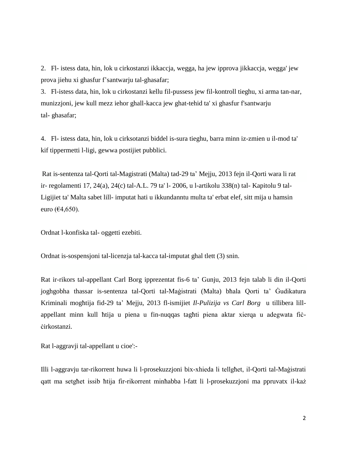2. Fl- istess data, hin, lok u cirkostanzi ikkaccja, wegga, ha jew ipprova jikkaccja, wegga' jew prova jiehu xi ghasfur f'santwarju tal-ghasafar;

3. Fl-istess data, hin, lok u cirkostanzi kellu fil-pussess jew fil-kontroll tieghu, xi arma tan-nar, munizzjoni, jew kull mezz iehor ghall-kacca jew ghat-tehid ta' xi ghasfur f'santwarju tal- ghasafar;

4. Fl- istess data, hin, lok u cirksotanzi biddel is-sura tieghu, barra minn iz-zmien u il-mod ta' kif tippermetti l-ligi, gewwa postijiet pubblici.

Rat is-sentenza tal-Qorti tal-Magistrati (Malta) tad-29 ta' Mejju, 2013 fejn il-Qorti wara li rat ir- regolamenti 17, 24(a), 24(c) tal-A.L. 79 ta' l- 2006, u l-artikolu 338(n) tal- Kapitolu 9 tal-Ligijiet ta' Malta sabet lill- imputat hati u ikkundanntu multa ta' erbat elef, sitt mija u hamsin euro ( $\epsilon$ 4,650).

Ordnat l-konfiska tal- oggetti ezebiti.

Ordnat is-sospensjoni tal-licenzja tal-kacca tal-imputat ghal tlett (3) snin.

Rat ir-rikors tal-appellant Carl Borg ipprezentat fis-6 ta' Gunju, 2013 fejn talab li din il-Qorti joghgobha thassar is-sentenza tal-Qorti tal-Maġistrati (Malta) bħala Qorti ta' Ġudikatura Kriminali mogħtija fid-29 ta' Mejju, 2013 fl-ismijiet *Il-Pulizija vs Carl Borg* u tillibera lillappellant minn kull ħtija u piena u fin-nuqqas tagħti piena aktar xierqa u adegwata fiċċirkostanzi.

Rat l-aggravji tal-appellant u cioe':-

Illi l-aggravju tar-rikorrent huwa li l-prosekuzzjoni bix-xhieda li tellgħet, il-Qorti tal-Maġistrati qatt ma setgħet issib ħtija fir-rikorrent minħabba l-fatt li l-prosekuzzjoni ma ppruvatx il-każ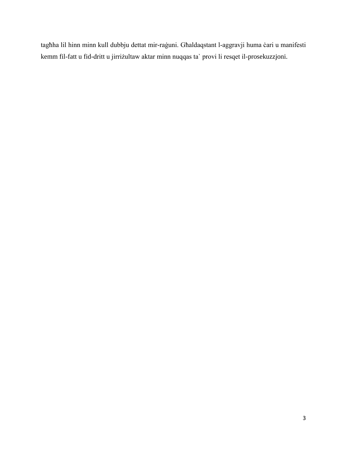tagħha lil hinn minn kull dubbju dettat mir-raġuni. Għaldaqstant l-aggravji huma ċari u manifesti kemm fil-fatt u fid-dritt u jirriżultaw aktar minn nuqqas taˋ provi li resqet il-prosekuzzjoni.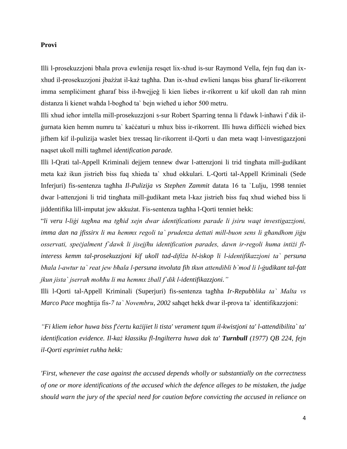#### **Provi**

Illi l-prosekuzzjoni bħala prova ewlenija resqet lix-xhud is-sur Raymond Vella, fejn fuq dan ixxhud il-prosekuzzjoni jbażżat il-każ tagħha. Dan ix-xhud ewlieni lanqas biss għaraf lir-rikorrent imma sempliċiment għaraf biss il-ħwejjeġ li kien liebes ir-rikorrent u kif ukoll dan rah minn distanza li kienet waħda l-bogħod taˋ bejn wieħed u ieħor 500 metru.

Illi xhud ieħor imtella mill-prosekuzzjoni s-sur Robert Sparring tenna li f'dawk l-inħawi fˋdik ilġurnata kien hemm numru taˋ kaċċaturi u mhux biss ir-rikorrent. Illi huwa diffiċċli wieħed biex jifhem kif il-pulizija waslet biex tressaq lir-rikorrent il-Qorti u dan meta waqt l-investigazzjoni naqset ukoll milli tagħmel *identification parade.*

Illi l-Qrati tal-Appell Kriminali dejjem tennew dwar l-attenzjoni li trid tingħata mill-ġudikant meta każ ikun jistrieħ biss fuq xhieda taˋ xhud okkulari. L-Qorti tal-Appell Kriminali (Sede Inferjuri) fis-sentenza tagħha *Il-Pulizija vs Stephen Zammit* datata 16 ta ˋLulju, 1998 tenniet dwar l-attenzjoni li trid tingħata mill-ġudikant meta l-kaz jistrieħ biss fuq xhud wieħed biss li jiddentifika lill-imputat jew akkużat. Fis-sentenza tagħha l-Qorti tenniet hekk:

"*li veru l-liġi tagħna ma tgħid xejn dwar identifications parade li jsiru waqt investigazzjoni, imma dan na jfissirx li ma hemmx regoli taˋ prudenza dettati mill-buon sens li għandhom jiġu osservati, speċjalment fˋdawk li jisejjħu identification parades, dawn ir-regoli huma intiżi flinteress kemm tal-prosekuzzjoni kif ukoll tad-difiża bl-iskop li l-identifikazzjoni taˋ persuna bħala l-awtur taˋ reat jew bħala l-persuna involuta fih tkun attendibli bˋmod li l-ġudikant tal-fatt jkun jistaˋ jserraħ moħħu li ma hemmx żball fˋdik l-identifikazzjoni."*

Illi l-Qorti tal-Appell Kriminali (Superjuri) fis-sentenza tagħha *Ir-Repubblika taˋ Malta vs Marco Pace* mogħtija fis-*7 taˋ Novembru, 2002* saħqet hekk dwar il-prova taˋ identifikazzjoni:

*"Fi kliem ieħor huwa biss f'ċertu każijiet li tista' verament tqum il-kwistjoni ta' l-attendibilita` ta' identification evidence. Il-każ klassiku fl-Ingilterra huwa dak ta' Turnbull (1977) QB 224, fejn il-Qorti esprimiet ruħha hekk:*

*'First, whenever the case against the accused depends wholly or substantially on the correctness of one or more identifications of the accused which the defence alleges to be mistaken, the judge should warn the jury of the special need for caution before convicting the accused in reliance on*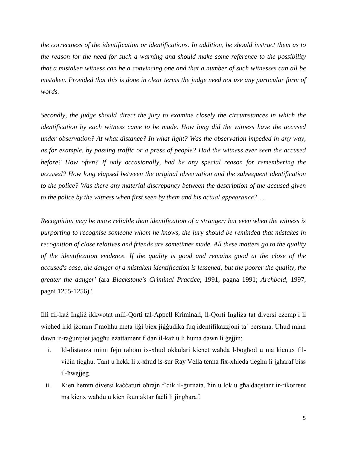*the correctness of the identification or identifications. In addition, he should instruct them as to the reason for the need for such a warning and should make some reference to the possibility that a mistaken witness can be a convincing one and that a number of such witnesses can all be mistaken. Provided that this is done in clear terms the judge need not use any particular form of words.*

*Secondly, the judge should direct the jury to examine closely the circumstances in which the identification by each witness came to be made. How long did the witness have the accused under observation? At what distance? In what light? Was the observation impeded in any way, as for example, by passing traffic or a press of people? Had the witness ever seen the accused before? How often? If only occasionally, had he any special reason for remembering the accused? How long elapsed between the original observation and the subsequent identification to the police? Was there any material discrepancy between the description of the accused given to the police by the witness when first seen by them and his actual appearance? …*

*Recognition may be more reliable than identification of a stranger; but even when the witness is purporting to recognise someone whom he knows, the jury should be reminded that mistakes in recognition of close relatives and friends are sometimes made. All these matters go to the quality of the identification evidence. If the quality is good and remains good at the close of the accused's case, the danger of a mistaken identification is lessened; but the poorer the quality, the greater the danger'* (ara *Blackstone's Criminal Practice*, 1991, pagna 1991; *Archbold*, 1997, pagni 1255-1256)".

Illi fil-każ Ingliż ikkwotat mill-Qorti tal-Appell Kriminali, il-Qorti Ingliża tat diversi eżempji li wieħed irid jżomm f`moħħu meta jiġi biex jiġġudika fuq identifikazzjoni ta` persuna. Uħud minn dawn ir-raġunijiet jaqgħu eżattament fˋdan il-każ u li huma dawn li ġejjin:

- i. Id-distanza minn fejn rahom ix-xhud okkulari kienet waħda l-bogħod u ma kienux filviċin tiegħu. Tant u hekk li x-xhud is-sur Ray Vella tenna fix-xhieda tiegħu li jgħaraf biss il-ħwejjeġ.
- ii. Kien hemm diversi kaċċaturi oħrajn fˋdik il-ġurnata, ħin u lok u għaldaqstant ir-rikorrent ma kienx waħdu u kien ikun aktar faċli li jingħaraf.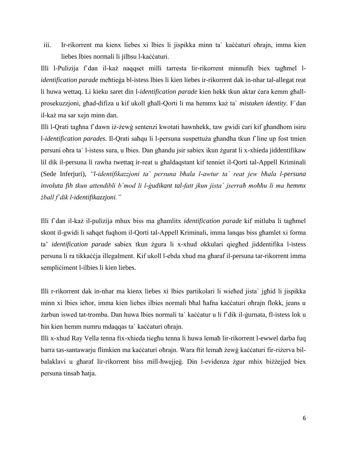iii. Ir-rikorrent ma kienx liebes xi lbies li jispikka minn ta` kaċċaturi oħrajn, imma kien liebes lbies normali li jilbsu l-kaċċaturi.

Illi l-Pulizija fˋdan il-każ naqqset milli tarresta lir-rikorrent minnufih biex tagħmel l*identification parade* meħtieġa bl-istess lbies li kien liebes ir-rikorrent dak in-nhar tal-allegat reat li huwa wettaq. Li kieku saret din l-*identification parade* kien hekk tkun aktar ċara kemm għallprosekuzzjoni, għad-difiza u kif ukoll għall-Qorti li ma hemmx każ taˋ *mistaken identity.* Fˋdan il-każ ma sar xejn minn dan.

Illi l-Qrati tagħna fˋdawn iż-żewġ sentenzi kwotati hawnhekk, taw gwidi ċari kif għandhom isiru l-*identification parades.* Il-Qrati saħqu li l-persuna suspettuża għandha tkun fˋline up fost tmien persuni oħra taˋ l-istess sura, u lbies. Dan għandu jsir sabiex ikun żgurat li x-xhieda jiddentifikaw lil dik il-persuna li rawha twettaq ir-reat u għaldaqstant kif tenniet il-Qorti tal-Appell Kriminali (Sede Inferjuri), *"l-identifikazzjoni taˋ persuna bħala l-awtur taˋ reat jew bħala l-persuna involuta fih tkun attendibli bˋmod li l-ġudikant tal-fatt jkun jistaˋ jserraħ moħħu li ma hemmx żball fˋdik l-identifikazzjoni."*

Illi fˋdan il-każ il-pulizija mhux biss ma għamlitx *identification parade* kif mitluba li tagħmel skont il-gwidi li saħqet fuqhom il-Qorti tal-Appell Kriminali, imma lanqas biss għamlet xi forma ta' *identification parade* sabiex tkun żgura li x-xhud okkulari qiegħed jiddentifika l-istess persuna li ra tikkaċċja illegalment. Kif ukoll l-ebda xhud ma għaraf il-persuna tar-rikorrent imma sempliciment l-ilbies li kien liebes.

Illi r-rikorrent dak in-nhar ma kienx liebes xi lbies partikolari li wieħed jistaˋ jgħid li jispikka minn xi lbies ieħor, imma kien liebes ilbies normali bħal ħafna kaċċaturi oħrajn flokk, jeans u żarbun iswed tat-tromba. Dan huwa lbies normali taˋ kaċċatur u li fˋdik il-ġurnata, fl-istess lok u ħin kien hemm numru mdaqqas taˋ kaċċaturi oħrajn.

Illi x-xhud Ray Vella tenna fix-xhieda tiegħu tenna li huwa lemaħ lir-rikorrent l-ewwel darba fuq barra tas-santawarju flimkien ma kaċċaturi oħrajn. Wara ftit lemaħ żewġ kaċċaturi fir-riżerva bilbalaklavi u għaraf lir-rikorrent biss mill-ħwejjeġ. Din l-evidenza żgur mhix biżżejjed biex persuna tinsab ħatja.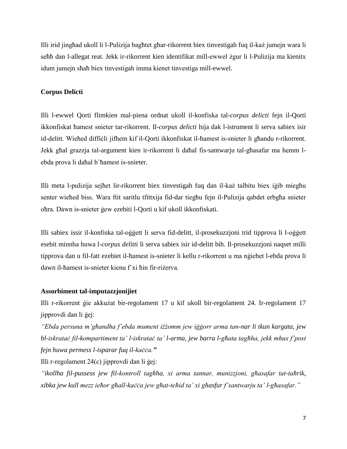Illi irid jingħad ukoll li l-Pulizija bagħtet għar-rikorrent biex tinvestigah fuq il-każ jumejn wara li seħħ dan l-allegat reat. Jekk ir-rikorrent kien identifikat mill-ewwel żgur li l-Pulizija ma kienitx idum jumejn sħaħ biex tinvestigah imma kienet tinvestiga mill-ewwel.

## **Corpus Delicti**

Illi l-ewwel Qorti flimkien mal-piena ordnat ukoll il-konfiska tal-*corpus delicti* fejn il-Qorti ikkonfiskat ħamest snieter tar-rikorrent. Il-*corpus delicti* hija dak l-istrument li serva sabiex isir id-delitt. Wieħed diffiċli jifhem kif il-Qorti ikkonfiskat il-ħamest is-snieter li għandu r-rikorrent. Jekk għal grazzja tal-argument kien ir-rikorrent li daħal fis-santwarju tal-għasafar ma hemm lebda prova li daħal bˋħamest is-snieter.

Illi meta l-pulizija sejħet lir-rikorrent biex tinvestigah fuq dan il-każ talbitu biex iġib miegħu senter wieħed biss. Wara ftit saritlu tfittxija fid-dar tiegħu fejn il-Pulizija qabdet erbgħa snieter oħra. Dawn is-snieter ġew ezebiti l-Qorti u kif ukoll ikkonfiskati.

Illi sabiex issir il-konfiska tal-oġġett li serva fid-delitt, il-prosekuzzjoni trid tipprova li l-oġġett esebit minnha huwa l-*corpus delitti* li serva sabiex isir id-delitt bih. Il-prosekuzzjoni naqset milli tipprova dan u fil-fatt ezebiet il-ħamest is-snieter li kellu r-rikorrent u ma nġiebet l-ebda prova li dawn il-ħamest is-snieter kienu fˋxi ħin fir-riżerva.

## **Assorbiment tal-imputazzjonijiet**

Illi r-rikorrent ġie akkużat bir-regolament 17 u kif ukoll bir-regolament 24. Ir-regolament 17 jipprovdi dan li ġej:

*"Ebda persuna m'għandha f'ebda mument iżżomm jew iġġorr arma tan-nar li tkun kargata, jew bl-iskrataċ fil-kompartiment ta' l-iskrataċ ta' l-arma, jew barra l-għata tagħha, jekk mhux f'post fejn huwa permess l-isparar fuq il-kaċċa."*

Illi r-regolament 24(c) jipprovdi dan li ġej:

*"ikollha fil-pussess jew fil-kontroll tagħha, xi arma tannar, munizzjoni, għasafar tat-taħrik, xibka jew kull mezz ieħor għall-kaċċa jew għat-teħid ta' xi għasfur f'santwarju ta' l-għasafar."*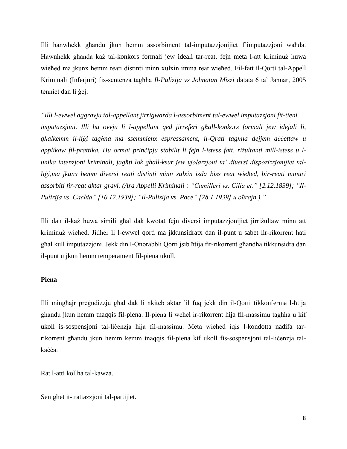Illi hanwhekk għandu jkun hemm assorbiment tal-imputazzjonijiet fˋimputazzjoni waħda. Hawnhekk għanda każ tal-konkors formali jew ideali tar-reat, fejn meta l-att kriminuż huwa wieħed ma jkunx hemm reati distinti minn xulxin imma reat wieħed. Fil-fatt il-Qorti tal-Appell Kriminali (Inferjuri) fis-sentenza tagħha *Il-Pulizija vs Johnatan Mizzi* datata 6 taˋ Jannar, 2005 tenniet dan li ġej:

*"Illi l-ewwel aggravju tal-appellant jirrigwarda l-assorbiment tal-ewwel imputazzjoni fit-tieni imputazzjoni. Illi hu ovvju li l-appellant qed jirreferi għall-konkors formali jew idejali li, għalkemm il-liġi tagħna ma ssemmiehx espressament, il-Qrati tagħna dejjem aċċettaw u applikaw fil-prattika. Hu ormai prinċipju stabilit li fejn l-istess fatt, riżultanti mill-istess u lunika intenzjoni kriminali, jagħti lok ghall-ksur jew vjolazzjoni ta' diversi dispozizzjonijiet talliġi,ma jkunx hemm diversi reati distinti minn xulxin izda biss reat wieħed, bir-reati minuri assorbiti fir-reat aktar gravi. (Ara Appelli Kriminali : "Camilleri vs. Cilia et." [2.12.1839]; "Il-Pulizija vs. Cachia" [10.12.1939]; "Il-Pulizija vs. Pace" [28.1.1939] u oħrajn.)."*

Illi dan il-każ huwa simili għal dak kwotat fejn diversi imputazzjonijiet jirriżultaw minn att kriminuż wieħed. Jidher li l-ewwel qorti ma jkkunsidratx dan il-punt u sabet lir-rikorrent ħati għal kull imputazzjoni. Jekk din l-Onorabbli Qorti jsib ħtija fir-rikorrent għandha tikkunsidra dan il-punt u jkun hemm temperament fil-piena ukoll.

### **Piena**

Illi mingħajr preġudizzju għal dak li nkiteb aktar ˋil fuq jekk din il-Qorti tikkonferma l-ħtija għandu jkun hemm tnaqqis fil-piena. Il-piena li weħel ir-rikorrent hija fil-massimu tagħha u kif ukoll is-sospensjoni tal-liċenzja hija fil-massimu. Meta wieħed iqis l-kondotta nadifa tarrikorrent għandu jkun hemm kemm tnaqqis fil-piena kif ukoll fis-sospensjoni tal-liċenzja talkaċċa.

Rat l-atti kollha tal-kawza.

Semghet it-trattazzjoni tal-partijiet.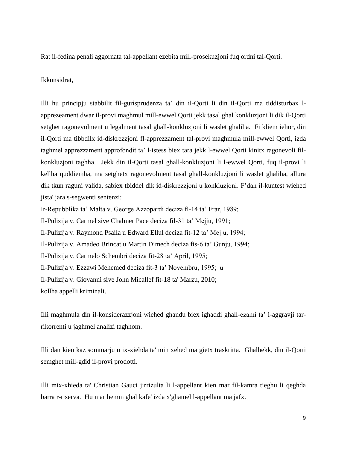Rat il-fedina penali aggornata tal-appellant ezebita mill-prosekuzjoni fuq ordni tal-Qorti.

Ikkunsidrat,

Illi hu principju stabbilit fil-gurisprudenza ta' din il-Qorti li din il-Qorti ma tiddisturbax lapprezeament dwar il-provi maghmul mill-ewwel Qorti jekk tasal ghal konkluzjoni li dik il-Qorti setghet ragonevolment u legalment tasal ghall-konkluzjoni li waslet ghaliha. Fi kliem iehor, din il-Qorti ma tibbdilx id-diskrezzjoni fl-apprezzament tal-provi maghmula mill-ewwel Qorti, izda taghmel apprezzament approfondit ta' l-istess biex tara jekk l-ewwel Qorti kinitx ragonevoli filkonkluzjoni taghha. Jekk din il-Qorti tasal ghall-konkluzjoni li l-ewwel Qorti, fuq il-provi li kellha quddiemha, ma setghetx ragonevolment tasal ghall-konkluzjoni li waslet ghaliha, allura dik tkun raguni valida, sabiex tbiddel dik id-diskrezzjoni u konkluzjoni. F'dan il-kuntest wiehed jista' jara s-segwenti sentenzi:

Ir-Repubblika ta' Malta v. George Azzopardi deciza fl-14 ta' Frar, 1989;

Il-Pulizija v. Carmel sive Chalmer Pace deciza fil-31 ta' Mejju, 1991;

Il-Pulizija v. Raymond Psaila u Edward Ellul deciza fit-12 ta' Mejju, 1994;

Il-Pulizija v. Amadeo Brincat u Martin Dimech deciza fis-6 ta' Gunju, 1994;

Il-Pulizija v. Carmelo Schembri deciza fit-28 ta' April, 1995;

Il-Pulizija v. Ezzawi Mehemed deciza fit-3 ta' Novembru, 1995; u

Il-Pulizija v. Giovanni sive John Micallef fit-18 ta' Marzu, 2010;

kollha appelli kriminali.

Illi maghmula din il-konsiderazzjoni wiehed ghandu biex ighaddi ghall-ezami ta' l-aggravji tarrikorrenti u jaghmel analizi taghhom.

Illi dan kien kaz sommarju u ix-xiehda ta' min xehed ma gietx traskritta. Ghalhekk, din il-Qorti semghet mill-gdid il-provi prodotti.

Illi mix-xhieda ta' Christian Gauci jirrizulta li l-appellant kien mar fil-kamra tieghu li qeghda barra r-riserva. Hu mar hemm ghal kafe' izda x'ghamel l-appellant ma jafx.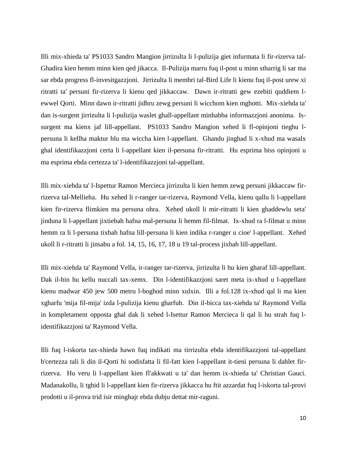Illi mix-xhieda ta' PS1033 Sandro Mangion jirrizulta li l-pulizija giet infurmata li fir-rizerva tal-Ghadira kien hemm minn kien qed jikacca. Il-Pulizija marru fuq il-post u minn stharrig li sar ma sar ebda progress fl-invesitgazzjoni. Jirrizulta li membri tal-Bird Life li kienu fuq il-post urew xi ritratti ta' persuni fir-rizerva li kienu qed jikkaccaw. Dawn ir-ritratti gew ezebiti quddiem lewwel Qorti. Minn dawn ir-ritratti jidhru zewg persuni li wicchom kien mghotti. Mix-xiehda ta' dan is-surgent jirrizulta li l-pulizija waslet ghall-appellant minhabba informazzjoni anonima. Issurgent ma kienx jaf lill-appellant. PS1033 Sandro Mangion xehed li fl-opinjoni tieghu lpersuna li kellha maktur blu ma wiccha kien l-appellant. Ghandu jinghad li x-xhud ma wasalx ghal identifikazzjoni certa li l-appellant kien il-persuna fir-ritratti. Hu esprima biss opinjoni u ma esprima ebda certezza ta' l-identifikazzjoni tal-appellant.

Illi mix-xiehda ta' l-Ispettur Ramon Mercieca jirrizulta li kien hemm zewg persuni jikkaccaw firrizerva tal-Mellieha. Hu xehed li r-ranger tar-rizerva, Raymond Vella, kienu qallu li l-appellant kien fir-rizerva flimkien ma persuna ohra. Xehed ukoll li mir-ritratti li kien ghaddewlu seta' jinduna li l-appellant jixtiebah hafna mal-persuna li hemm fil-filmat. Ix-xhud ra l-filmat u minn hemm ra li l-persuna tixbah hafna lill-persuna li kien indika r-ranger u cioe' l-appellant. Xehed ukoll li r-ritratti li jinsabu a fol. 14, 15, 16, 17, 18 u 19 tal-process jixbah lill-appellant.

Illi mix-xiehda ta' Raymond Vella, ir-ranger tar-rizerva, jirrizulta li hu kien gharaf lill-appellant. Dak il-hin hu kellu nuccali tax-xemx. Din l-identifikazzjoni saret meta ix-xhud u l-appellant kienu madwar 450 jew 500 metru l-boghod minn xulxin. Illi a fol.128 ix-xhud qal li ma kien xgharfu 'mija fil-mija' izda l-pulizija kienu gharfuh. Din il-bicca tax-xiehda ta' Raymond Vella in kompletament opposta ghal dak li xehed l-Isettur Ramon Mercieca li qal li hu strah fuq lidentifikazzjoni ta' Raymond Vella.

Illi fuq l-iskorta tax-xhieda hawn fuq indikati ma tirrizulta ebda identifikazzjoni tal-appellant b'certezza tali li din il-Qorti hi sodisfatta li fil-fatt kien l-appellant it-tieni persuna li dahlet firrizerva. Hu veru li l-appellant kien fl'akkwati u ta' dan hemm ix-xhieda ta' Christian Gauci. Madanakollu, li tghid li l-appellant kien fir-rizerva jikkacca hu ftit azzardat fuq l-iskorta tal-provi prodotti u il-prova trid isir minghajr ebda dubju dettat mir-raguni.